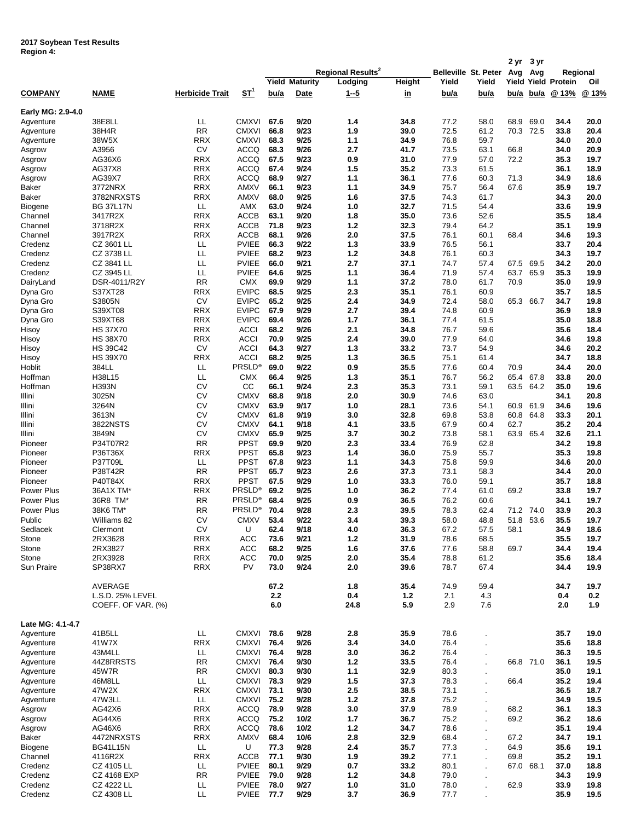|                         |                                        |                          |                              |              |                               | Regional Results <sup>2</sup> |                     |               | <b>Belleville St. Peter</b> | 2 yr<br>Avg  | 3 yr<br>Avg  |                               | Regional     |
|-------------------------|----------------------------------------|--------------------------|------------------------------|--------------|-------------------------------|-------------------------------|---------------------|---------------|-----------------------------|--------------|--------------|-------------------------------|--------------|
| <b>COMPANY</b>          | <b>NAME</b>                            | Herbicide Trait          | <u>ST'</u>                   | bu/a         | <b>Yield Maturity</b><br>Date | Lodging<br>$1 - 5$            | Height<br><u>in</u> | Yield<br>bu/a | Yield<br>bu/a               | Yield        | bu/a bu/a    | <b>Yield Protein</b><br>@ 13% | Oil<br>@ 13% |
| Early MG: 2.9-4.0       |                                        |                          |                              |              |                               |                               |                     |               |                             |              |              |                               |              |
| Agventure               | 38E8LL                                 | LL.                      | <b>CMXVI</b>                 | 67.6         | 9/20                          | 1.4                           | 34.8                | 77.2          | 58.0                        | 68.9         | 69.0         | 34.4                          | 20.0         |
| Agventure               | 38H4R                                  | <b>RR</b>                | <b>CMXVI</b>                 | 66.8         | 9/23                          | 1.9                           | 39.0                | 72.5          | 61.2                        | 70.3 72.5    |              | 33.8                          | 20.4         |
| Agventure               | 38W5X                                  | <b>RRX</b>               | <b>CMXVI</b>                 | 68.3         | 9/25                          | 1.1                           | 34.9                | 76.8          | 59.7                        |              |              | 34.0                          | 20.0         |
| Asgrow                  | A3956                                  | CV                       | <b>ACCQ</b>                  | 68.3         | 9/26                          | 2.7                           | 41.7                | 73.5          | 63.1                        | 66.8         |              | 34.0                          | 20.9         |
| Asgrow                  | AG36X6<br>AG37X8                       | <b>RRX</b>               | <b>ACCQ</b>                  | 67.5<br>67.4 | 9/23<br>9/24                  | 0.9<br>1.5                    | 31.0<br>35.2        | 77.9<br>73.3  | 57.0                        | 72.2         |              | 35.3                          | 19.7         |
| Asgrow<br>Asgrow        | AG39X7                                 | <b>RRX</b><br><b>RRX</b> | <b>ACCQ</b><br><b>ACCQ</b>   | 68.9         | 9/27                          | 1.1                           | 36.1                | 77.6          | 61.5<br>60.3                | 71.3         |              | 36.1<br>34.9                  | 18.9<br>18.6 |
| <b>Baker</b>            | 3772NRX                                | <b>RRX</b>               | AMXV                         | 66.1         | 9/23                          | 1.1                           | 34.9                | 75.7          | 56.4                        | 67.6         |              | 35.9                          | 19.7         |
| <b>Baker</b>            | 3782NRXSTS                             | <b>RRX</b>               | AMXV                         | 68.0         | 9/25                          | 1.6                           | 37.5                | 74.3          | 61.7                        |              |              | 34.3                          | 20.0         |
| Biogene                 | <b>BG 37L17N</b>                       | LL                       | AMX                          | 63.0         | 9/24                          | 1.0                           | 32.7                | 71.5          | 54.4                        |              |              | 33.6                          | 19.9         |
| Channel                 | 3417R2X                                | <b>RRX</b>               | ACCB                         | 63.1         | 9/20                          | 1.8                           | 35.0                | 73.6          | 52.6                        |              |              | 35.5                          | 18.4         |
| Channel                 | 3718R2X                                | <b>RRX</b><br><b>RRX</b> | <b>ACCB</b><br><b>ACCB</b>   | 71.8<br>68.1 | 9/23                          | $1.2$                         | 32.3                | 79.4          | 64.2                        |              |              | 35.1                          | 19.9         |
| Channel<br>Credenz      | 3917R2X<br>CZ 3601 LL                  | LL                       | <b>PVIEE</b>                 | 66.3         | 9/26<br>9/22                  | 2.0<br>1.3                    | 37.5<br>33.9        | 76.1<br>76.5  | 60.1<br>56.1                | 68.4         |              | 34.6<br>33.7                  | 19.3<br>20.4 |
| Credenz                 | CZ 3738 LL                             | LL                       | <b>PVIEE</b>                 | 68.2         | 9/23                          | 1.2                           | 34.8                | 76.1          | 60.3                        |              |              | 34.3                          | 19.7         |
| Credenz                 | CZ 3841 LL                             | LL                       | <b>PVIEE</b>                 | 66.0         | 9/21                          | 2.7                           | 37.1                | 74.7          | 57.4                        | 67.5         | 69.5         | 34.2                          | 20.0         |
| Credenz                 | CZ 3945 LL                             | LL                       | <b>PVIEE</b>                 | 64.6         | 9/25                          | 1.1                           | 36.4                | 71.9          | 57.4                        | 63.7         | 65.9         | 35.3                          | 19.9         |
| DairyLand               | DSR-4011/R2Y                           | <b>RR</b>                | <b>CMX</b>                   | 69.9         | 9/29                          | 1.1                           | 37.2                | 78.0          | 61.7                        | 70.9         |              | 35.0                          | 19.9         |
| Dyna Gro                | S37XT28                                | <b>RRX</b>               | <b>EVIPC</b>                 | 68.5         | 9/25                          | 2.3                           | 35.1                | 76.1          | 60.9                        |              |              | 35.7                          | 18.5         |
| Dyna Gro<br>Dyna Gro    | S3805N<br>S39XT08                      | CV<br><b>RRX</b>         | <b>EVIPC</b><br><b>EVIPC</b> | 65.2<br>67.9 | 9/25<br>9/29                  | 2.4<br>2.7                    | 34.9<br>39.4        | 72.4<br>74.8  | 58.0<br>60.9                | 65.3         | 66.7         | 34.7<br>36.9                  | 19.8<br>18.9 |
| Dyna Gro                | S39XT68                                | <b>RRX</b>               | <b>EVIPC</b>                 | 69.4         | 9/26                          | 1.7                           | 36.1                | 77.4          | 61.5                        |              |              | 35.0                          | 18.8         |
| Hisoy                   | <b>HS 37X70</b>                        | <b>RRX</b>               | <b>ACCI</b>                  | 68.2         | 9/26                          | 2.1                           | 34.8                | 76.7          | 59.6                        |              |              | 35.6                          | 18.4         |
| Hisoy                   | <b>HS 38X70</b>                        | <b>RRX</b>               | <b>ACCI</b>                  | 70.9         | 9/25                          | 2.4                           | 39.0                | 77.9          | 64.0                        |              |              | 34.6                          | 19.8         |
| Hisoy                   | <b>HS 39C42</b>                        | <b>CV</b>                | <b>ACCI</b>                  | 64.3         | 9/27                          | 1.3                           | 33.2                | 73.7          | 54.9                        |              |              | 34.6                          | 20.2         |
| Hisoy                   | <b>HS 39X70</b>                        | <b>RRX</b>               | <b>ACCI</b>                  | 68.2         | 9/25                          | 1.3                           | 36.5                | 75.1          | 61.4                        |              |              | 34.7                          | 18.8         |
| Hoblit                  | 384LL<br>H38L15                        | LL.<br>LL                | <b>PRSLD®</b>                | 69.0<br>66.4 | 9/22<br>9/25                  | 0.9                           | 35.5<br>35.1        | 77.6<br>76.7  | 60.4<br>56.2                | 70.9         |              | 34.4<br>33.8                  | 20.0         |
| Hoffman<br>Hoffman      | <b>H393N</b>                           | CV                       | <b>CMX</b><br>CC             | 66.1         | 9/24                          | 1.3<br>2.3                    | 35.3                | 73.1          | 59.1                        | 65.4<br>63.5 | 67.8<br>64.2 | 35.0                          | 20.0<br>19.6 |
| Illini                  | 3025N                                  | CV                       | <b>CMXV</b>                  | 68.8         | 9/18                          | 2.0                           | 30.9                | 74.6          | 63.0                        |              |              | 34.1                          | 20.8         |
| Illini                  | 3264N                                  | CV                       | <b>CMXV</b>                  | 63.9         | 9/17                          | 1.0                           | 28.1                | 73.6          | 54.1                        | 60.9         | 61.9         | 34.6                          | 19.6         |
| Illini                  | 3613N                                  | <b>CV</b>                | <b>CMXV</b>                  | 61.8         | 9/19                          | 3.0                           | 32.8                | 69.8          | 53.8                        | 60.8         | 64.8         | 33.3                          | 20.1         |
| Illini                  | 3822NSTS                               | CV                       | <b>CMXV</b>                  | 64.1         | 9/18                          | 4.1                           | 33.5                | 67.9          | 60.4                        | 62.7         |              | 35.2                          | 20.4         |
| Illini                  | 3849N                                  | CV                       | <b>CMXV</b>                  | 65.9         | 9/25                          | 3.7                           | 30.2                | 73.8          | 58.1                        |              | 63.9 65.4    | 32.6                          | 21.1         |
| Pioneer<br>Pioneer      | P34T07R2<br>P36T36X                    | <b>RR</b><br><b>RRX</b>  | <b>PPST</b><br>PPST          | 69.9<br>65.8 | 9/20<br>9/23                  | 2.3<br>1.4                    | 33.4<br>36.0        | 76.9<br>75.9  | 62.8<br>55.7                |              |              | 34.2<br>35.3                  | 19.8<br>19.8 |
| Pioneer                 | P37T09L                                | LL                       | PPST                         | 67.8         | 9/23                          | 1.1                           | 34.3                | 75.8          | 59.9                        |              |              | 34.6                          | 20.0         |
| Pioneer                 | P38T42R                                | <b>RR</b>                | PPST                         | 65.7         | 9/23                          | 2.6                           | 37.3                | 73.1          | 58.3                        |              |              | 34.4                          | 20.0         |
| Pioneer                 | P40T84X                                | <b>RRX</b>               | PPST                         | 67.5         | 9/29                          | 1.0                           | 33.3                | 76.0          | 59.1                        |              |              | 35.7                          | 18.8         |
| <b>Power Plus</b>       | 36A1X TM*                              | <b>RRX</b>               | PRSLD®                       | 69.2         | 9/25                          | 1.0                           | 36.2                | 77.4          | 61.0                        | 69.2         |              | 33.8                          | 19.7         |
| <b>Power Plus</b>       | 36R8 TM*                               | <b>RR</b>                | <b>PRSLD®</b>                | 68.4         | 9/25                          | 0.9                           | 36.5                | 76.2          | 60.6                        |              |              | 34.1                          | 19.7         |
| Power Plus              | 38K6 TM*                               | RR                       | PRSLD <sup>®</sup> 70.4      |              | 9/28                          | 2.3                           | 39.5                | 78.3          | 62.4                        |              | 71.2 74.0    | 33.9                          | 20.3         |
| Public<br>Sedlacek      | Williams 82<br>Clermont                | CV<br><b>CV</b>          | <b>CMXV</b><br>U             | 53.4<br>62.4 | 9/22<br>9/18                  | 3.4<br>4.0                    | 39.3<br>36.3        | 58.0<br>67.2  | 48.8<br>57.5                | 51.8<br>58.1 | 53.6         | 35.5<br>34.9                  | 19.7<br>18.6 |
| Stone                   | 2RX3628                                | <b>RRX</b>               | <b>ACC</b>                   | 73.6         | 9/21                          | $1.2$                         | 31.9                | 78.6          | 68.5                        |              |              | 35.5                          | 19.7         |
| Stone                   | 2RX3827                                | <b>RRX</b>               | <b>ACC</b>                   | 68.2         | 9/25                          | 1.6                           | 37.6                | 77.6          | 58.8                        | 69.7         |              | 34.4                          | 19.4         |
| Stone                   | 2RX3928                                | <b>RRX</b>               | ACC                          | 70.0         | 9/25                          | 2.0                           | 35.4                | 78.8          | 61.2                        |              |              | 35.6                          | 18.4         |
| Sun Praire              | SP38RX7                                | <b>RRX</b>               | <b>PV</b>                    | 73.0         | 9/24                          | 2.0                           | 39.6                | 78.7          | 67.4                        |              |              | 34.4                          | 19.9         |
|                         | AVERAGE                                |                          |                              | 67.2         |                               | 1.8                           | 35.4                | 74.9          | 59.4                        |              |              | 34.7                          | 19.7         |
|                         | L.S.D. 25% LEVEL<br>COEFF. OF VAR. (%) |                          |                              | 2.2<br>6.0   |                               | 0.4<br>24.8                   | $1.2$<br>5.9        | 2.1<br>2.9    | 4.3<br>7.6                  |              |              | 0.4<br>2.0                    | 0.2<br>1.9   |
| Late MG: 4.1-4.7        |                                        |                          |                              |              |                               |                               |                     |               |                             |              |              |                               |              |
| Agventure               | 41B5LL                                 | LL                       | <b>CMXVI</b>                 | 78.6         | 9/28                          | 2.8                           | 35.9                | 78.6          |                             |              |              | 35.7                          | 19.0         |
| Agventure               | 41W7X                                  | <b>RRX</b>               | <b>CMXVI</b>                 | 76.4         | 9/26                          | 3.4                           | 34.0                | 76.4          |                             |              |              | 35.6                          | 18.8         |
| Agventure               | 43M4LL                                 | LL                       | <b>CMXVI</b>                 | 76.4         | 9/28                          | 3.0                           | 36.2                | 76.4          |                             |              |              | 36.3                          | 19.5         |
| Agventure<br>Agventure  | 44Z8RRSTS<br>45W7R                     | <b>RR</b><br><b>RR</b>   | <b>CMXVI</b><br><b>CMXVI</b> | 76.4<br>80.3 | 9/30<br>9/30                  | $1.2$<br>1.1                  | 33.5<br>32.9        | 76.4<br>80.3  |                             |              | 66.8 71.0    | 36.1<br>35.0                  | 19.5<br>19.1 |
| Agventure               | 46M8LL                                 | LL.                      | <b>CMXVI</b>                 | 78.3         | 9/29                          | 1.5                           | 37.3                | 78.3          |                             | 66.4         |              | 35.2                          | 19.4         |
| Agventure               | 47W2X                                  | <b>RRX</b>               | CMXVI 73.1                   |              | 9/30                          | 2.5                           | 38.5                | 73.1          |                             |              |              | 36.5                          | 18.7         |
| Agventure               | 47W3LL                                 | LL                       | <b>CMXVI</b>                 | 75.2         | 9/28                          | $1.2$                         | 37.8                | 75.2          |                             |              |              | 34.9                          | 19.5         |
| Asgrow                  | AG42X6                                 | <b>RRX</b>               | <b>ACCQ</b>                  | 78.9         | 9/28                          | 3.0                           | 37.9                | 78.9          |                             | 68.2         |              | 36.1                          | 18.3         |
| Asgrow                  | AG44X6                                 | <b>RRX</b>               | <b>ACCQ</b>                  | 75.2         | 10/2                          | 1.7                           | 36.7                | 75.2          |                             | 69.2         |              | 36.2                          | 18.6         |
| Asgrow                  | AG46X6                                 | <b>RRX</b>               | <b>ACCQ</b>                  | 78.6<br>68.4 | 10/2                          | $1.2$                         | 34.7                | 78.6          |                             |              |              | 35.1                          | 19.4         |
| Baker<br><b>Biogene</b> | 4472NRXSTS<br><b>BG41L15N</b>          | <b>RRX</b><br>LL         | AMXV<br>U                    | 77.3         | 10/6<br>9/28                  | 2.8<br>2.4                    | 32.9<br>35.7        | 68.4<br>77.3  |                             | 67.2<br>64.9 |              | 34.7<br>35.6                  | 19.1<br>19.1 |
| Channel                 | 4116R2X                                | <b>RRX</b>               | <b>ACCB</b>                  | 77.1         | 9/30                          | 1.9                           | 39.2                | 77.1          |                             | 69.8         |              | 35.2                          | 19.1         |
| Credenz                 | CZ 4105 LL                             | LL.                      | <b>PVIEE</b>                 | 80.1         | 9/29                          | 0.7                           | 33.2                | 80.1          |                             | 67.0         | 68.1         | 37.0                          | 18.8         |
| Credenz                 | <b>CZ 4168 EXP</b>                     | <b>RR</b>                | <b>PVIEE</b>                 | 79.0         | 9/28                          | $1.2$                         | 34.8                | 79.0          |                             |              |              | 34.3                          | 19.9         |
| Credenz                 | CZ 4222 LL                             | LL.                      | <b>PVIEE</b>                 | 78.0         | 9/27                          | 1.0                           | 31.0                | 78.0          |                             | 62.9         |              | 33.9                          | 19.8         |
| Credenz                 | CZ 4308 LL                             | LL                       | <b>PVIEE 77.7</b>            |              | 9/29                          | 3.7                           | 36.9                | 77.7          |                             |              |              | 35.9                          | 19.5         |